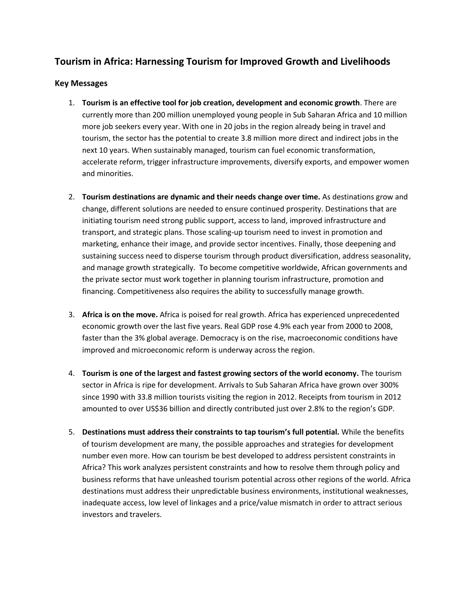## **Tourism in Africa: Harnessing Tourism for Improved Growth and Livelihoods**

## **Key Messages**

- 1. **Tourism is an effective tool for job creation, development and economic growth**. There are currently more than 200 million unemployed young people in Sub Saharan Africa and 10 million more job seekers every year. With one in 20 jobs in the region already being in travel and tourism, the sector has the potential to create 3.8 million more direct and indirect jobs in the next 10 years. When sustainably managed, tourism can fuel economic transformation, accelerate reform, trigger infrastructure improvements, diversify exports, and empower women and minorities.
- 2. **Tourism destinations are dynamic and their needs change over time.** As destinations grow and change, different solutions are needed to ensure continued prosperity. Destinations that are initiating tourism need strong public support, access to land, improved infrastructure and transport, and strategic plans. Those scaling-up tourism need to invest in promotion and marketing, enhance their image, and provide sector incentives. Finally, those deepening and sustaining success need to disperse tourism through product diversification, address seasonality, and manage growth strategically. To become competitive worldwide, African governments and the private sector must work together in planning tourism infrastructure, promotion and financing. Competitiveness also requires the ability to successfully manage growth.
- 3. **Africa is on the move.** Africa is poised for real growth. Africa has experienced unprecedented economic growth over the last five years. Real GDP rose 4.9% each year from 2000 to 2008, faster than the 3% global average. Democracy is on the rise, macroeconomic conditions have improved and microeconomic reform is underway across the region.
- 4. **Tourism is one of the largest and fastest growing sectors of the world economy.** The tourism sector in Africa is ripe for development. Arrivals to Sub Saharan Africa have grown over 300% since 1990 with 33.8 million tourists visiting the region in 2012. Receipts from tourism in 2012 amounted to over US\$36 billion and directly contributed just over 2.8% to the region's GDP.
- 5. **Destinations must address their constraints to tap tourism's full potential.** While the benefits of tourism development are many, the possible approaches and strategies for development number even more. How can tourism be best developed to address persistent constraints in Africa? This work analyzes persistent constraints and how to resolve them through policy and business reforms that have unleashed tourism potential across other regions of the world. Africa destinations must address their unpredictable business environments, institutional weaknesses, inadequate access, low level of linkages and a price/value mismatch in order to attract serious investors and travelers.